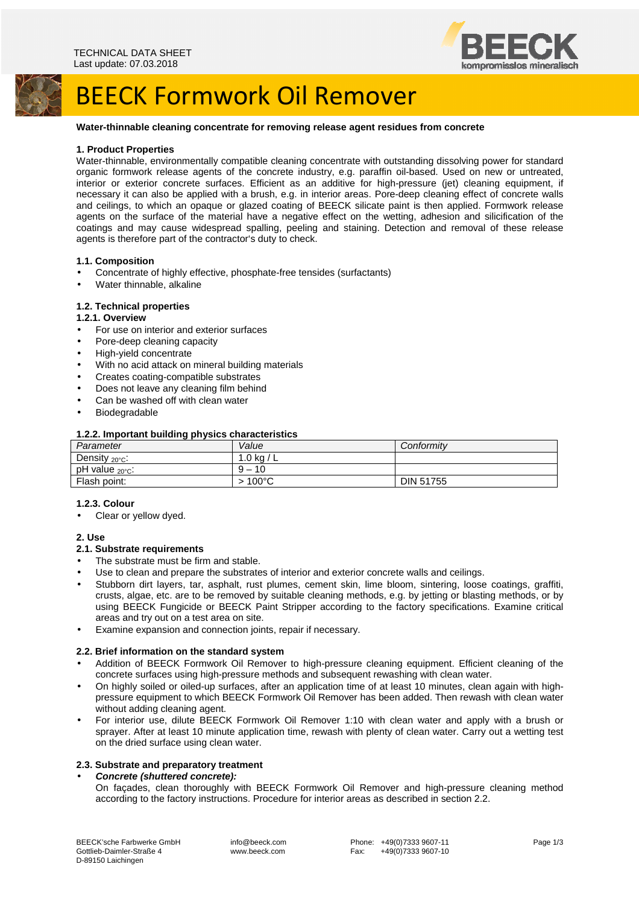

## BEECK Formwork Oil Remover

#### **Water-thinnable cleaning concentrate for removing release agent residues from concrete**

#### **1. Product Properties**

Water-thinnable, environmentally compatible cleaning concentrate with outstanding dissolving power for standard organic formwork release agents of the concrete industry, e.g. paraffin oil-based. Used on new or untreated, interior or exterior concrete surfaces. Efficient as an additive for high-pressure (jet) cleaning equipment, if necessary it can also be applied with a brush, e.g. in interior areas. Pore-deep cleaning effect of concrete walls and ceilings, to which an opaque or glazed coating of BEECK silicate paint is then applied. Formwork release agents on the surface of the material have a negative effect on the wetting, adhesion and silicification of the coatings and may cause widespread spalling, peeling and staining. Detection and removal of these release agents is therefore part of the contractor's duty to check.

### **1.1. Composition**

- Concentrate of highly effective, phosphate-free tensides (surfactants)
- Water thinnable, alkaline

## **1.2. Technical properties**

#### **1.2.1. Overview**

- For use on interior and exterior surfaces
- Pore-deep cleaning capacity
- High-vield concentrate
- With no acid attack on mineral building materials
- Creates coating-compatible substrates
- Does not leave any cleaning film behind
- Can be washed off with clean water
- **Biodegradable**

#### **1.2.2. Important building physics characteristics**

| Parameter                  | Value                               | Conformitv       |
|----------------------------|-------------------------------------|------------------|
| Density $20^{\circ}$ C:    | .0 ka /                             |                  |
| pH value $_{20\degree}$ C: | 10<br>a<br>$\overline{\phantom{0}}$ |                  |
| Flash point:               | $100^{\circ}$ C                     | <b>DIN 51755</b> |

#### **1.2.3. Colour**

Clear or yellow dyed.

### **2. Use**

#### **2.1. Substrate requirements**

- The substrate must be firm and stable.
- Use to clean and prepare the substrates of interior and exterior concrete walls and ceilings.
- Stubborn dirt layers, tar, asphalt, rust plumes, cement skin, lime bloom, sintering, loose coatings, graffiti, crusts, algae, etc. are to be removed by suitable cleaning methods, e.g. by jetting or blasting methods, or by using BEECK Fungicide or BEECK Paint Stripper according to the factory specifications. Examine critical areas and try out on a test area on site.
- Examine expansion and connection joints, repair if necessary.

## **2.2. Brief information on the standard system**

- Addition of BEECK Formwork Oil Remover to high-pressure cleaning equipment. Efficient cleaning of the concrete surfaces using high-pressure methods and subsequent rewashing with clean water.
- On highly soiled or oiled-up surfaces, after an application time of at least 10 minutes, clean again with highpressure equipment to which BEECK Formwork Oil Remover has been added. Then rewash with clean water without adding cleaning agent.
- For interior use, dilute BEECK Formwork Oil Remover 1:10 with clean water and apply with a brush or sprayer. After at least 10 minute application time, rewash with plenty of clean water. Carry out a wetting test on the dried surface using clean water.

#### **2.3. Substrate and preparatory treatment**

## • **Concrete (shuttered concrete):**

On façades, clean thoroughly with BEECK Formwork Oil Remover and high-pressure cleaning method according to the factory instructions. Procedure for interior areas as described in section 2.2.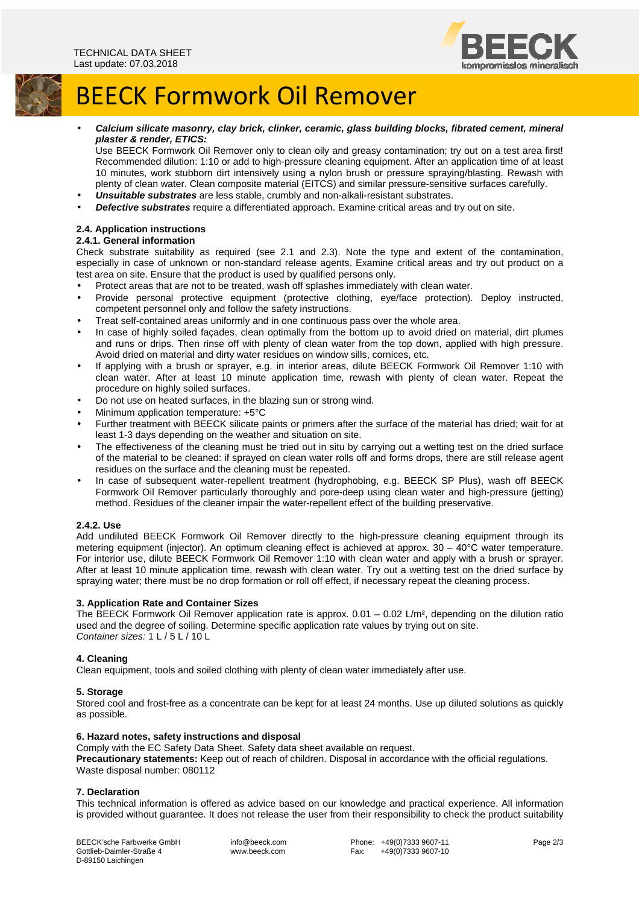

## BEECK Formwork Oil Remover

• **Calcium silicate masonry, clay brick, clinker, ceramic, glass building blocks, fibrated cement, mineral plaster & render, ETICS:** 

Use BEECK Formwork Oil Remover only to clean oily and greasy contamination; try out on a test area first! Recommended dilution: 1:10 or add to high-pressure cleaning equipment. After an application time of at least 10 minutes, work stubborn dirt intensively using a nylon brush or pressure spraying/blasting. Rewash with plenty of clean water. Clean composite material (EITCS) and similar pressure-sensitive surfaces carefully.

- **Unsuitable substrates** are less stable, crumbly and non-alkali-resistant substrates.
- **Defective substrates** require a differentiated approach. Examine critical areas and try out on site.

## **2.4. Application instructions**

## **2.4.1. General information**

Check substrate suitability as required (see 2.1 and 2.3). Note the type and extent of the contamination, especially in case of unknown or non-standard release agents. Examine critical areas and try out product on a test area on site. Ensure that the product is used by qualified persons only.

- Protect areas that are not to be treated, wash off splashes immediately with clean water.
- Provide personal protective equipment (protective clothing, eye/face protection). Deploy instructed, competent personnel only and follow the safety instructions.
- Treat self-contained areas uniformly and in one continuous pass over the whole area.
- In case of highly soiled façades, clean optimally from the bottom up to avoid dried on material, dirt plumes and runs or drips. Then rinse off with plenty of clean water from the top down, applied with high pressure. Avoid dried on material and dirty water residues on window sills, cornices, etc.
- If applying with a brush or sprayer, e.g. in interior areas, dilute BEECK Formwork Oil Remover 1:10 with clean water. After at least 10 minute application time, rewash with plenty of clean water. Repeat the procedure on highly soiled surfaces.
- Do not use on heated surfaces, in the blazing sun or strong wind.
- Minimum application temperature: +5°C
- Further treatment with BEECK silicate paints or primers after the surface of the material has dried; wait for at least 1-3 days depending on the weather and situation on site.
- The effectiveness of the cleaning must be tried out in situ by carrying out a wetting test on the dried surface of the material to be cleaned: if sprayed on clean water rolls off and forms drops, there are still release agent residues on the surface and the cleaning must be repeated.
- In case of subsequent water-repellent treatment (hydrophobing, e.g. BEECK SP Plus), wash off BEECK Formwork Oil Remover particularly thoroughly and pore-deep using clean water and high-pressure (jetting) method. Residues of the cleaner impair the water-repellent effect of the building preservative.

### **2.4.2. Use**

Add undiluted BEECK Formwork Oil Remover directly to the high-pressure cleaning equipment through its metering equipment (injector). An optimum cleaning effect is achieved at approx.  $30 - 40^{\circ}$ C water temperature. For interior use, dilute BEECK Formwork Oil Remover 1:10 with clean water and apply with a brush or sprayer. After at least 10 minute application time, rewash with clean water. Try out a wetting test on the dried surface by spraying water; there must be no drop formation or roll off effect, if necessary repeat the cleaning process.

### **3. Application Rate and Container Sizes**

The BEECK Formwork Oil Remover application rate is approx. 0.01 – 0.02 L/m², depending on the dilution ratio used and the degree of soiling. Determine specific application rate values by trying out on site. Container sizes: 1 L / 5 L / 10 L

### **4. Cleaning**

Clean equipment, tools and soiled clothing with plenty of clean water immediately after use.

#### **5. Storage**

Stored cool and frost-free as a concentrate can be kept for at least 24 months. Use up diluted solutions as quickly as possible.

## **6. Hazard notes, safety instructions and disposal**

Comply with the EC Safety Data Sheet. Safety data sheet available on request.

**Precautionary statements:** Keep out of reach of children. Disposal in accordance with the official regulations. Waste disposal number: 080112

### **7. Declaration**

This technical information is offered as advice based on our knowledge and practical experience. All information is provided without guarantee. It does not release the user from their responsibility to check the product suitability

BEECK'sche Farbwerke GmbH Gottlieb-Daimler-Straße 4 D-89150 Laichingen

 info@beeck.com www.beeck.com

Phone: +49(0)7333 9607-11<br>Fax: +49(0)7333 9607-10 +49(0)7333 9607-10 Page 2/3